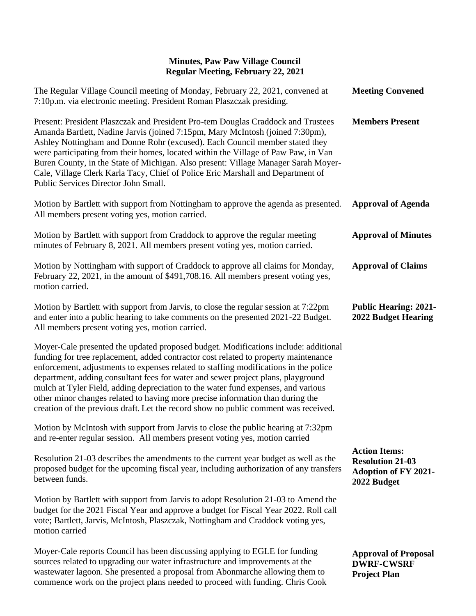| The Regular Village Council meeting of Monday, February 22, 2021, convened at<br>7:10p.m. via electronic meeting. President Roman Plaszczak presiding.                                                                                                                                                                                                                                                                                                                                                                                                                                                               | <b>Meeting Convened</b>                                                                       |
|----------------------------------------------------------------------------------------------------------------------------------------------------------------------------------------------------------------------------------------------------------------------------------------------------------------------------------------------------------------------------------------------------------------------------------------------------------------------------------------------------------------------------------------------------------------------------------------------------------------------|-----------------------------------------------------------------------------------------------|
| Present: President Plaszczak and President Pro-tem Douglas Craddock and Trustees<br>Amanda Bartlett, Nadine Jarvis (joined 7:15pm, Mary McIntosh (joined 7:30pm),<br>Ashley Nottingham and Donne Rohr (excused). Each Council member stated they<br>were participating from their homes, located within the Village of Paw Paw, in Van<br>Buren County, in the State of Michigan. Also present: Village Manager Sarah Moyer-<br>Cale, Village Clerk Karla Tacy, Chief of Police Eric Marshall and Department of<br>Public Services Director John Small.                                                              | <b>Members Present</b>                                                                        |
| Motion by Bartlett with support from Nottingham to approve the agenda as presented.<br>All members present voting yes, motion carried.                                                                                                                                                                                                                                                                                                                                                                                                                                                                               | <b>Approval of Agenda</b>                                                                     |
| Motion by Bartlett with support from Craddock to approve the regular meeting<br>minutes of February 8, 2021. All members present voting yes, motion carried.                                                                                                                                                                                                                                                                                                                                                                                                                                                         | <b>Approval of Minutes</b>                                                                    |
| Motion by Nottingham with support of Craddock to approve all claims for Monday,<br>February 22, 2021, in the amount of \$491,708.16. All members present voting yes,<br>motion carried.                                                                                                                                                                                                                                                                                                                                                                                                                              | <b>Approval of Claims</b>                                                                     |
| Motion by Bartlett with support from Jarvis, to close the regular session at 7:22pm<br>and enter into a public hearing to take comments on the presented 2021-22 Budget.<br>All members present voting yes, motion carried.                                                                                                                                                                                                                                                                                                                                                                                          | <b>Public Hearing: 2021-</b><br><b>2022 Budget Hearing</b>                                    |
| Moyer-Cale presented the updated proposed budget. Modifications include: additional<br>funding for tree replacement, added contractor cost related to property maintenance<br>enforcement, adjustments to expenses related to staffing modifications in the police<br>department, adding consultant fees for water and sewer project plans, playground<br>mulch at Tyler Field, adding depreciation to the water fund expenses, and various<br>other minor changes related to having more precise information than during the<br>creation of the previous draft. Let the record show no public comment was received. |                                                                                               |
| Motion by McIntosh with support from Jarvis to close the public hearing at 7:32pm<br>and re-enter regular session. All members present voting yes, motion carried                                                                                                                                                                                                                                                                                                                                                                                                                                                    |                                                                                               |
| Resolution 21-03 describes the amendments to the current year budget as well as the<br>proposed budget for the upcoming fiscal year, including authorization of any transfers<br>between funds.                                                                                                                                                                                                                                                                                                                                                                                                                      | <b>Action Items:</b><br><b>Resolution 21-03</b><br><b>Adoption of FY 2021-</b><br>2022 Budget |
| Motion by Bartlett with support from Jarvis to adopt Resolution 21-03 to Amend the<br>budget for the 2021 Fiscal Year and approve a budget for Fiscal Year 2022. Roll call<br>vote; Bartlett, Jarvis, McIntosh, Plaszczak, Nottingham and Craddock voting yes,<br>motion carried                                                                                                                                                                                                                                                                                                                                     |                                                                                               |
| Moyer-Cale reports Council has been discussing applying to EGLE for funding<br>sources related to upgrading our water infrastructure and improvements at the<br>wastewater lagoon. She presented a proposal from Abonmarche allowing them to<br>commence work on the project plans needed to proceed with funding. Chris Cook                                                                                                                                                                                                                                                                                        | <b>Approval of Proposal</b><br><b>DWRF-CWSRF</b><br><b>Project Plan</b>                       |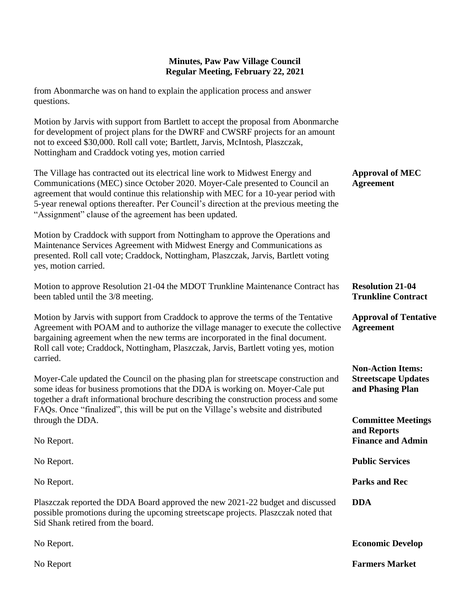| from Abonmarche was on hand to explain the application process and answer                                                                                                                                                                                                                                                                                                                              |                                                                            |
|--------------------------------------------------------------------------------------------------------------------------------------------------------------------------------------------------------------------------------------------------------------------------------------------------------------------------------------------------------------------------------------------------------|----------------------------------------------------------------------------|
| questions.                                                                                                                                                                                                                                                                                                                                                                                             |                                                                            |
| Motion by Jarvis with support from Bartlett to accept the proposal from Abonmarche<br>for development of project plans for the DWRF and CWSRF projects for an amount<br>not to exceed \$30,000. Roll call vote; Bartlett, Jarvis, McIntosh, Plaszczak,<br>Nottingham and Craddock voting yes, motion carried                                                                                           |                                                                            |
| The Village has contracted out its electrical line work to Midwest Energy and<br>Communications (MEC) since October 2020. Moyer-Cale presented to Council an<br>agreement that would continue this relationship with MEC for a 10-year period with<br>5-year renewal options thereafter. Per Council's direction at the previous meeting the<br>"Assignment" clause of the agreement has been updated. | <b>Approval of MEC</b><br><b>Agreement</b>                                 |
| Motion by Craddock with support from Nottingham to approve the Operations and<br>Maintenance Services Agreement with Midwest Energy and Communications as<br>presented. Roll call vote; Craddock, Nottingham, Plaszczak, Jarvis, Bartlett voting<br>yes, motion carried.                                                                                                                               |                                                                            |
| Motion to approve Resolution 21-04 the MDOT Trunkline Maintenance Contract has<br>been tabled until the 3/8 meeting.                                                                                                                                                                                                                                                                                   | <b>Resolution 21-04</b><br><b>Trunkline Contract</b>                       |
| Motion by Jarvis with support from Craddock to approve the terms of the Tentative<br>Agreement with POAM and to authorize the village manager to execute the collective<br>bargaining agreement when the new terms are incorporated in the final document.<br>Roll call vote; Craddock, Nottingham, Plaszczak, Jarvis, Bartlett voting yes, motion<br>carried.                                         | <b>Approval of Tentative</b><br><b>Agreement</b>                           |
| Moyer-Cale updated the Council on the phasing plan for streetscape construction and<br>some ideas for business promotions that the DDA is working on. Moyer-Cale put<br>together a draft informational brochure describing the construction process and some<br>FAQs. Once "finalized", this will be put on the Village's website and distributed                                                      | <b>Non-Action Items:</b><br><b>Streetscape Updates</b><br>and Phasing Plan |
| through the DDA.                                                                                                                                                                                                                                                                                                                                                                                       | <b>Committee Meetings</b><br>and Reports                                   |
| No Report.                                                                                                                                                                                                                                                                                                                                                                                             | <b>Finance and Admin</b>                                                   |
| No Report.                                                                                                                                                                                                                                                                                                                                                                                             | <b>Public Services</b>                                                     |
| No Report.                                                                                                                                                                                                                                                                                                                                                                                             | <b>Parks and Rec</b>                                                       |
| Plaszczak reported the DDA Board approved the new 2021-22 budget and discussed<br>possible promotions during the upcoming streetscape projects. Plaszczak noted that<br>Sid Shank retired from the board.                                                                                                                                                                                              | <b>DDA</b>                                                                 |
| No Report.                                                                                                                                                                                                                                                                                                                                                                                             | <b>Economic Develop</b>                                                    |
| No Report                                                                                                                                                                                                                                                                                                                                                                                              | <b>Farmers Market</b>                                                      |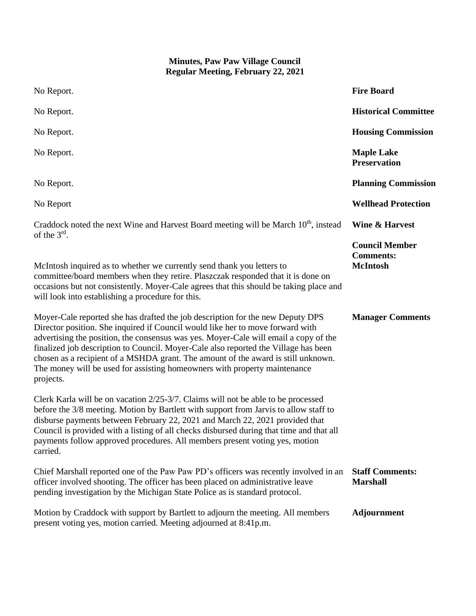| No Report.                                                                                                                                                                                                                                                                                                                                                                                                                                                                                                                     | <b>Fire Board</b>                                            |
|--------------------------------------------------------------------------------------------------------------------------------------------------------------------------------------------------------------------------------------------------------------------------------------------------------------------------------------------------------------------------------------------------------------------------------------------------------------------------------------------------------------------------------|--------------------------------------------------------------|
| No Report.                                                                                                                                                                                                                                                                                                                                                                                                                                                                                                                     | <b>Historical Committee</b>                                  |
| No Report.                                                                                                                                                                                                                                                                                                                                                                                                                                                                                                                     | <b>Housing Commission</b>                                    |
| No Report.                                                                                                                                                                                                                                                                                                                                                                                                                                                                                                                     | <b>Maple Lake</b><br><b>Preservation</b>                     |
| No Report.                                                                                                                                                                                                                                                                                                                                                                                                                                                                                                                     | <b>Planning Commission</b>                                   |
| No Report                                                                                                                                                                                                                                                                                                                                                                                                                                                                                                                      | <b>Wellhead Protection</b>                                   |
| Craddock noted the next Wine and Harvest Board meeting will be March 10 <sup>th</sup> , instead<br>of the $3rd$ .                                                                                                                                                                                                                                                                                                                                                                                                              | <b>Wine &amp; Harvest</b>                                    |
| McIntosh inquired as to whether we currently send thank you letters to<br>committee/board members when they retire. Plaszczak responded that it is done on<br>occasions but not consistently. Moyer-Cale agrees that this should be taking place and<br>will look into establishing a procedure for this.                                                                                                                                                                                                                      | <b>Council Member</b><br><b>Comments:</b><br><b>McIntosh</b> |
| Moyer-Cale reported she has drafted the job description for the new Deputy DPS<br>Director position. She inquired if Council would like her to move forward with<br>advertising the position, the consensus was yes. Moyer-Cale will email a copy of the<br>finalized job description to Council. Moyer-Cale also reported the Village has been<br>chosen as a recipient of a MSHDA grant. The amount of the award is still unknown.<br>The money will be used for assisting homeowners with property maintenance<br>projects. | <b>Manager Comments</b>                                      |
| Clerk Karla will be on vacation 2/25-3/7. Claims will not be able to be processed<br>before the 3/8 meeting. Motion by Bartlett with support from Jarvis to allow staff to<br>disburse payments between February 22, 2021 and March 22, 2021 provided that<br>Council is provided with a listing of all checks disbursed during that time and that all<br>payments follow approved procedures. All members present voting yes, motion<br>carried.                                                                              |                                                              |
| Chief Marshall reported one of the Paw Paw PD's officers was recently involved in an<br>officer involved shooting. The officer has been placed on administrative leave<br>pending investigation by the Michigan State Police as is standard protocol.                                                                                                                                                                                                                                                                          | <b>Staff Comments:</b><br><b>Marshall</b>                    |
| Motion by Craddock with support by Bartlett to adjourn the meeting. All members<br>present voting yes, motion carried. Meeting adjourned at 8:41p.m.                                                                                                                                                                                                                                                                                                                                                                           | Adjournment                                                  |